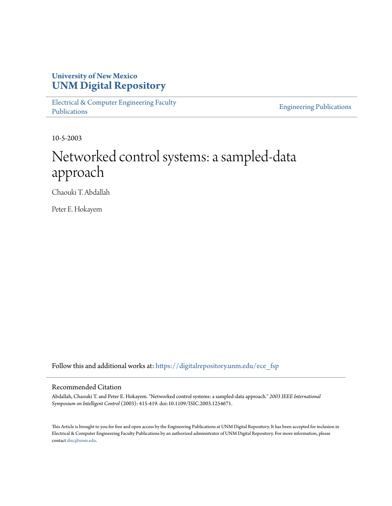### **University of New Mexico [UNM Digital Repository](https://digitalrepository.unm.edu?utm_source=digitalrepository.unm.edu%2Fece_fsp%2F90&utm_medium=PDF&utm_campaign=PDFCoverPages)**

[Electrical & Computer Engineering Faculty](https://digitalrepository.unm.edu/ece_fsp?utm_source=digitalrepository.unm.edu%2Fece_fsp%2F90&utm_medium=PDF&utm_campaign=PDFCoverPages) [Publications](https://digitalrepository.unm.edu/ece_fsp?utm_source=digitalrepository.unm.edu%2Fece_fsp%2F90&utm_medium=PDF&utm_campaign=PDFCoverPages)

[Engineering Publications](https://digitalrepository.unm.edu/eng_fsp?utm_source=digitalrepository.unm.edu%2Fece_fsp%2F90&utm_medium=PDF&utm_campaign=PDFCoverPages)

10-5-2003

## Networked control systems: a sampled-data approach

Chaouki T. Abdallah

Peter E. Hokayem

Follow this and additional works at: [https://digitalrepository.unm.edu/ece\\_fsp](https://digitalrepository.unm.edu/ece_fsp?utm_source=digitalrepository.unm.edu%2Fece_fsp%2F90&utm_medium=PDF&utm_campaign=PDFCoverPages)

#### Recommended Citation

Abdallah, Chaouki T. and Peter E. Hokayem. "Networked control systems: a sampled-data approach." *2003 IEEE International Symposium on Intelligent Control* (2003): 415-419. doi:10.1109/ISIC.2003.1254671.

This Article is brought to you for free and open access by the Engineering Publications at UNM Digital Repository. It has been accepted for inclusion in Electrical & Computer Engineering Faculty Publications by an authorized administrator of UNM Digital Repository. For more information, please contact [disc@unm.edu.](mailto:disc@unm.edu)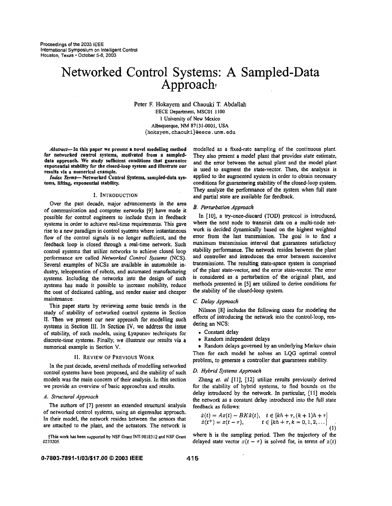# Networked Control Systems: A Sampled-Data Approach<sup>+</sup>

Peter **E** Hokayem and Chaouki T. Abdallah EECE Department, MSCOI **I100**  I Universiry of New Mexico Albuquerque, **NM 87131-0001,** USA **[{hokayem,chaouki\)@eece.unm.edu](mailto:hokayem,chaouki)@eece.unm.edu)** 

Abstract-In this paper we present a novel modelling method for networked control systems, motivated from a sampleddata approach. We study sufficient conditions that guarantee exponential stability for the closed-loop system and illustrate our results via a numerical example.

*Index* Terms-Networked Control Systems, sampled-data systems, lifting, exponential stability.

#### I. INTRODUCTION

Over the past decade, major advancements in the area of communication and computer networks **191** have made it possible for control engineers to include them in feedback systems in order to achieve real-time requirements. This gave rise to a new paradigm in control systems where instantaneous flow of the control signals is no longer sufficient, and the feedback loop is closed through a real-time network. Such control systems that utilize networks to achieve closed loop performance are called *Networked Control Systems* (NCS). Several examples of **NCSs** are available in automobile industry, teleoperation of robots, and automated manufacturing systems. Including the networks into the design of such systems has made it possible to increase mobility, reduce the cost of dedicated cabling, and render easier and cheaper maintenance.

This paper starts by reviewing some basic trends in the study of stability of networked control systems in Section 11. Then we present **our** new approach for modelling such systems in Section **111.** In Section **IV,** we address the issue of stability, of such models, using Lyapunov techniques for discrete-time systems. Finally, we illustrate our results via a numerical example in Section V.

#### **11.** REVIEW OF PREVIOUS **WORK**

in the past decade, several methods of modelling networked control systems have been proposed. and the stability of such models was the main concern of their analysis. In this section we provide an overview of basic approaches and results.

#### *A. Structural Approach*

The authors of **[7]** present an extended structural analysis of networked control systems, using an eigenvalue approach. In their model, the network resides between the sensors that are attached to the plant, and the actuators. The network is

\$This **work ha been** supported **by** NSF Grant **INT-98183 12** and NSF **Grant 0233205.** 

modelled **as** a fixed-rate sampling of the continuous plant. They also present *8* model plant that provides state estimate, and the error between the actual plant and the model plant is used to augment the state-vector. Then, the analysis is applied to the augmented system in order *to* obtain necessary conditions for guaranteeing stability of the closed-loop system. They analyze the performance of the system when full state and partial state are available for feedback.

#### *B. Perturbation Approach*

In [IO], a try-once-discard (TOD) protocol is introduced, where the next node to transmit data on a multi-node network is decided dynamically based on the highest weighted error from the last transmission. **The** goal is to find a maximum transmission interval that guarantees satisfactory stability performance. The network resides between the plant and controller and introduces the error between successive transmissions. The resulting state-space system is comprised of the plant state-vector, and the error stale-vector. The error is considered as **a** perturbation of the original plant, and methods presented in **[5]** are utilized to derive conditions for the stability of the closed-loop system.

#### **C.** *De/ay Appmack*

Nilsson **[SI** includes the following cases for modeling the effects of introducing the network into the control-loop, rendering an NCS:

- . Constant delay
- Random independent delays

• Random delays governed by an underlying Markov chain Then for each model he solves an **LQG** optimal control problem, to generate a controller that guarantees stability.

#### *D. Hybrid Systems Appmach*

Zhang *el. a1* **[Ill, 1121** utilize results previously derived for the stability of hybrid systems, to find bounds on the delay introduced by the network. In particular, [ll] models the network as a constant delay introduced into the full state feedback **as** follows:

$$
\begin{aligned}\n\dot{x}(t) &= Ax(t) - BK\hat{x}(t), \quad t \in [kh + \tau, (k+1)h + \tau] \\
\hat{x}(t^+) &= x(t - \tau), \qquad t \in [kh + \tau, k = 0, 1, 2, \dots] \\
\end{aligned}
$$
\n(1)

where h is the sampling period. Then the trajectory of the delayed state vector  $x(t - \tau)$  is solved for, in terms of  $x(t)$ 

#### *0-7803-7891-1103/\$17.00 0 2003* **IEEE 41 5**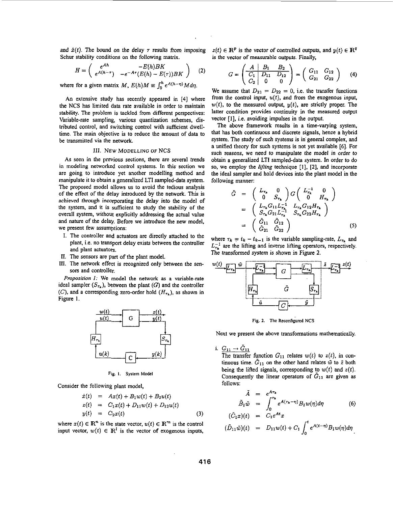<span id="page-2-0"></span>and  $\hat{x}(t)$ . The bound on the delay  $\tau$  results from imposing Schur stability conditions on the following matrix.

$$
H = \left(\begin{array}{cc} e^{Ah} & -E(h)BK \\ e^{A(h-\tau)} & -e^{-A\tau}(E(h) - E(\tau))BK \end{array}\right) \quad (2)
$$

where for a given matrix *M*,  $E(h)M \equiv \int_0^h e^{A(h-\eta)} M d\eta$ .

An extensive study has recently appeared in **[4]** where the NCS has limited data rate available in order to maintain stability. The problem is tackled from different perspectives: Variable-rate sampling, various quantization schemes, distributed control, and switching control with sufficient dwelltime. The main objective is to reduce the amount of data to be transmitted via the network.

#### **111. NEW MODELLING OF NCS**

As seen in the previous sections, there are several trends in modeling networked control systems. In this section we are going to introduce yet another modelling method and manipulate it to obtain a generalized LTI sampled-data system. The proposed model allows us to avoid the tedious analysis of the effect of the delay introduced by the network. This is achieved **through** incorporating the delay into the model of the system, and it is sufficient to study the stability of the overall system, without explicitly addressing the actual value and nature of the delay. Before we introduce the new model, we present few assumptions:

- I. The controller and actuators are directly attached to the plant, i.e. no transport delay exists between the controller and plant actuators.
- *11.* The sensors are part of the plant model.
- **111.** The network effect is recognized only between the sensors and controller.

*Proposition I:* We model the network as a variable-rate ideal sampler  $(S_{\tau_k})$ , between the plant  $(G)$  and the controller (C), and a corresponding zero-order hold  $(H_{\tau_k})$ , as shown in Figure **1.** 



**Fig. I. System Model** 

Consider the following plant model,

$$
\dot{x}(t) = Ax(t) + B_1 w(t) + B_2 u(t) \n z(t) = C_1 x(t) + D_{11} w(t) + D_{12} u(t) \n y(t) = C_2 x(t)
$$
\n(3)

where  $x(t) \in \mathbb{R}^n$  is the state vector,  $u(t) \in \mathbb{R}^m$  is the control input vector,  $w(t) \in \mathbb{R}^l$  is the vector of exogenous inputs,

 $z(t) \in \mathbb{R}^p$  is the vector of controlled outputs, and  $y(t) \in \mathbb{R}^q$ is the vector of measurable outputs. Finally,

$$
G = \begin{pmatrix} A & B_1 & B_2 \\ \hline C_1 & D_{11} & D_{12} \\ C_2 & 0 & 0 \end{pmatrix} = \begin{pmatrix} G_{11} & G_{12} \\ G_{21} & G_{22} \end{pmatrix} \tag{4}
$$

We assume that  $D_{21} = D_{22} = 0$ , i.e. the transfer functions from the control input, *u(t),* and from the exogenous input,  $w(t)$ , to the measured output,  $y(t)$ , are strictly proper. The latter condition provides continuity in the measured output vector **[I],** i.e. avoiding impulses in the output.

The above framework results in a time-varying system, that has both continuous and discrete signals, hence a hybrid system. The study of such systems is in'general complex, and a unified theoty for such systems is not yet available *[6].* For such reasons, we need to manipulate the model in order to obtain a generalized LTI sampled-data system. In order to do so, we employ the *lifting* technique **[I], [Z],** and incorporate the ideal sampler and hold devices into the plant model in the following manner:

$$
\tilde{G} = \begin{pmatrix} L_{\tau_{k}} & 0 \\ 0 & S_{\tau_{k}} \end{pmatrix} G \begin{pmatrix} L_{\tau_{k}}^{-1} & 0 \\ 0 & H_{\tau_{k}} \end{pmatrix}
$$
  
\n
$$
= \begin{pmatrix} L_{\tau_{k}} G_{11} L_{\tau_{k}}^{-1} & L_{\tau_{k}} G_{12} H_{\tau_{k}} \\ S_{\tau_{k}} G_{21} L_{\tau_{k}}^{-1} & S_{\tau_{k}} G_{22} H_{\tau_{k}} \end{pmatrix}
$$
  
\n
$$
= \begin{pmatrix} \tilde{G}_{11} & \tilde{G}_{12} \\ \tilde{G}_{21} & \tilde{G}_{22} \end{pmatrix}
$$
 (5)

where  $\tau_k = t_k - t_{k-1}$  is the variable sampling-rate,  $L_{\tau_k}$  and  $L_{\tau_{h}}^{-1}$  are the lifting and inverse lifting operators, respectively. The transformed system is shown in Figure **2.** 



**Fig.** *2.* **The Recanfigured NCS** 

Next we present the above transformations mathematically.

i.  $G_{11} \rightarrow G_{11}$ The transfer function  $G_{11}$  relates  $w(t)$  to  $z(t)$ , in continuous time.  $\tilde{G}_{11}$  on the other hand relates  $\tilde{w}$  to  $\tilde{z}$  both being the lifted signals, corresponding to  $w(t)$  and  $z(t)$ . Consequently the linear operators of  $G_{11}$  are given as follows:

$$
\tilde{A} = e^{A\tau_k} \n\tilde{B}_1 \tilde{w} = \int_0^{\tau_k} e^{A(\tau_k - \eta)} B_1 w(\eta) d\eta
$$
\n
$$
(\tilde{C}_1 x)(t) = C_1 e^{At} x
$$
\n(6)

$$
(\tilde{D}_{11}\tilde{w})(t) = D_{11}w(t) + C_1 \int_0^t e^{A(t-\eta)} B_1 w(\eta) d\eta
$$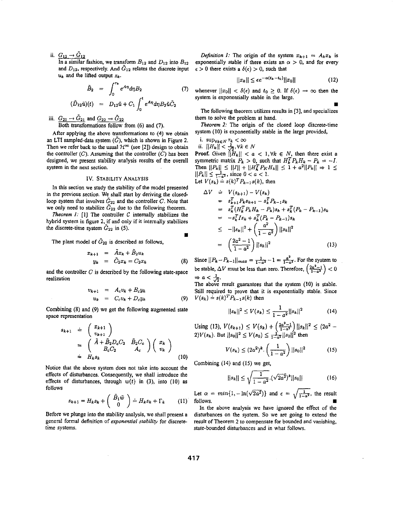ii.  $G_{12} \rightarrow G_{12}$ 

In a similar fashion, we transform  $B_{12}$  and  $D_{12}$  into  $B_{12}$ and  $D_{12}$ , respectively. And  $\tilde{G}_{12}$  relates the discrete input  $u_k$  and the lifted output  $z_k$ .

$$
\tilde{B}_2 = \int_0^{\tau_k} e^{A\eta} d\eta B_2 \tag{7}
$$
\n
$$
(\tilde{D}_{12}\tilde{u})(t) = D_{12}\tilde{u} + C_1 \int_0^t e^{A\eta} d\eta B_2 \tilde{u}\tilde{C}_2
$$

... **111.**  $G_{21} \rightarrow \tilde{G}_{21}$  and  $G_{22} \rightarrow \tilde{G}_{22}$ <br>
Both transformations follow from (6) and (7),

After applying the above transformations to **(4)** we obtain an LTI sampled-data system  $(\tilde{G})$ , which is shown in [Figure](#page-2-0) 2. Then we refer back to the usual  $\mathcal{H}^{\infty}$  (see [2]) design to obtain the controller  $(C)$ . Assuming that the controller  $(C)$  has been designed, we present stability analysis results of the overall system in the next section.

#### **IV. STABILITY ANALYSIS**

In this section we study the stability of the model presented in the previous section. We shall start by deriving the closedloop system that involves  $\tilde{G}_{22}$  and the controller C. Note that we only need to stabilize  $\tilde{G}_{22}$  due to the following theorem.

*Theorem 1:* [1] The controller  $C$  internally stabilizes the hybrid system in figure 2, if and only if it internally stabilizes the discrete-time system  $G_{22}$  in (5).

The plant model of  $\tilde{G}_{22}$  is described as follows,

$$
x_{k+1} = \tilde{A}x_k + \tilde{B}_2 u_k
$$
  

$$
y_k = \tilde{C}_2 x_k = C_2 x_k
$$
 (8)

and the controller *C* is described by the following state-space realization

$$
v_{k+1} = A_c v_k + B_c y_k
$$
  
\n
$$
u_k = C_c v_k + D_c y_k
$$
 (9)

Combining **(8)** and (9) we get the following augmented state space representation

$$
s_{k+1} \doteq \begin{pmatrix} x_{k+1} \\ v_{k+1} \end{pmatrix}
$$
  
\n
$$
= \begin{pmatrix} \tilde{A} + \tilde{B}_2 D_c C_2 & \tilde{B}_2 C_c \\ B_c C_2 & A_c \end{pmatrix} \begin{pmatrix} x_k \\ v_k \end{pmatrix}
$$
  
\n
$$
\doteq H_k s_k
$$
 (10)

Notice that the above system does not take into account the effects of disturbances. Consequently, we shall introduce the effects of disturbances, through  $w(t)$  in (3), into (10) as follows disturbances. Consequently, we shall introduce the<br> *S* disturbances, through  $w(t)$  in (3), into (10) as<br> *Sk+1* =  $H_k s_k + \begin{pmatrix} \tilde{B}_1 \tilde{w} \\ 0 \end{pmatrix} \doteq H_k s_k + \Gamma_k$  (11) follows.

$$
s_{k+1} = H_k s_k + \begin{pmatrix} \tilde{B}_1 \tilde{w} \\ 0 \end{pmatrix} \doteq H_k s_k + \Gamma_k \qquad (11)
$$

Before we plunge into the stability analysis, we shall present a general formal definition of *exponential stability* for discretetime systems.

*Definition 1:* The origin of the system  $x_{k+1} = A_k x_k$  is exponentially stable if there exists an  $\alpha > 0$ , and for every  $\epsilon > 0$  there exists a  $\delta(\epsilon) > 0$ , such that

$$
||x_k|| \le \epsilon e^{-\alpha(t_k - t_0)} ||x_0|| \tag{12}
$$

whenever  $||x_0|| < \delta(\epsilon)$  and  $t_0 \ge 0$ . If  $\delta(\epsilon) \to \infty$  then the system is exponentially stable in the **large.** 

**w** 

The following theorem utilizes results in **[3],** and specializes them to solve the problem at hand.

*Theorem* **2:** The origin of the closed loop discrete-time system (IO) is exponentially stable in the large provided,

- i.  $\sup_{\forall k \in N} \tau_k < \infty$
- ii.  $||H_k|| < \frac{1}{\sqrt{2}}, \forall k \in N$

**Proof.** Given  $\left|\left|H_k\right|\right| < a < 1, \forall k \in N$ , then there exist a symmetric matrix  $P_k > 0$ , such that  $H_k^T P_k H_k - P_k = -I$ . symmetric matrix  $P_k > 0$ , such that  $H_k^T P_k H_k - P_k = -I$ .<br>Then  $||P_k|| \le ||I|| + ||H_k^T P_k H_k|| \le 1 + a^2 ||P_k|| \Rightarrow 1 \le$ **rition**  $||P_k|| \leq ||I|| + ||H_k^T P_K F_k$ <br>  $||P_k|| \leq \frac{1}{1-\alpha^2}$ , since  $0 < a < 1$ . Let  $V(s_k) = s(k)^T P_{k-1} s(k)$ , then

$$
\Delta V = V(s_{k+1}) - V(s_k)
$$
  
\n
$$
= s_{k+1}^T P_k s_{k+1} - s_k^T P_{k-1} s_k
$$
  
\n
$$
= s_k^T (H_k^T P_k H_k - P_k) s_k + s_k^T (P_k - P_{k-1}) s_k
$$
  
\n
$$
= -s_k^T I s_k + s_k^T (P_k - P_{k-1}) s_k
$$
  
\n
$$
\leq -||s_k||^2 + \left(\frac{a^2}{1 - a^2}\right) ||s_k||^2
$$
  
\n
$$
= \left(\frac{2a^2 - 1}{1 - a^2}\right) ||s_k||^2
$$
 (13)

Since  $||P_k - P_{k-1}||_{max} = \frac{1}{1-a^2} - 1 = \frac{a^2}{1-a^2}$ . For the system to be stable,  $\Delta V$  must be less than zero. Therefore,  $\left(\frac{2a^2-1}{1-a^2}\right) < 0$  $\Rightarrow$   $a < \frac{1}{\sqrt{2}}$ 

The above result guarantees that the system **(IO)** is stable. **Still** required to prove **that** it is exponentially stable. Since  $V(s_k) \doteq s(k)^T P_{k-1} s(k)$  then

$$
||s_k||^2 \le V(s_k) \le \frac{1}{1-a^2}||s_k||^2 \tag{14}
$$

Using (13),  $V(s_{k+1}) \le V(s_k) + \left(\frac{2a^2-1}{1-a^2}\right) ||s_k||^2 \le (2a^2-2)V(s_k)$ . But  $||s_0||^2 \le V(s_0) \le \frac{1}{1-a^2} ||s_0||^2$  then

$$
V(s_k) \le (2a^2)^k \cdot \left(\frac{1}{1-a^2}\right) ||s_0||^2 \tag{15}
$$

Combining **(14)** and **(15)** we get,

$$
|s_k|| \le \sqrt{\frac{1}{1-a^2}} \cdot (\sqrt{2a^2})^k ||s_0|| \tag{16}
$$

In the above analysis we have ignored the effect of the disturbances on the system. So we are going to extend the result of Theorem **2** to compensate for bounded and vanishing, state-bounded disturbances and in what follows.

**H**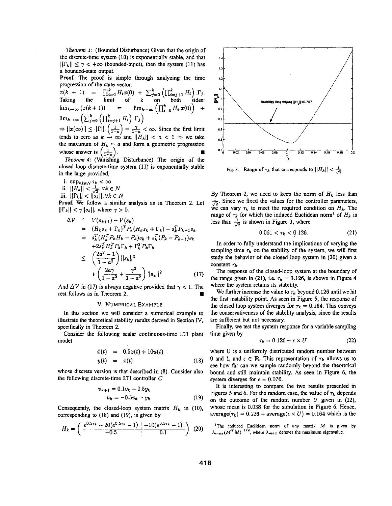*Theorem 3:* (Bounded Disturbance) Given that the origin of the discrete-time system (10) is exponentially stable, and **that**   $||\Gamma_k|| \leq \gamma < +\infty$  (bounded-input), then the system (11) has a bounded-state output.

**Proof.** The proof is simple **through** analyzing the time progression of the state-vector.

 $T(x + 1) = \prod_{i=0}^{k} H_i x(0) + \sum_{j=0}^{k} (\prod_{i=j+1}^{k} H_i) \cdot \Gamma_j$ .<br>
Taking the limit of k on both sides:  $\lim_{k\to\infty} (x(k+1))$  =  $\lim_{k\to\infty} \left(\prod_{i=0}^{k} H_i \cdot x(0)\right)$  +  $\lim_{k\to\infty}\left(\sum_{j=0}^k\left(\prod_{i=j+1}^k H_i\right).\Gamma_j\right)$ 

 $\lim_{k \to \infty} (\sum_{j=0}^{n} (11i=j+1 \cdot 1 \cdot j \cdot j))$ <br>  $\Rightarrow ||x(\infty)|| \le ||\Gamma|| \cdot (\frac{1}{1-a}) = \frac{\gamma}{1-a} < \infty$ . Since the first limit tends to zero as  $k \to \infty$  and  $||H_k|| < a < 1 \Rightarrow$  we take the maximum of  $H_k = a$  and form a geometric progression<br>whose answer is  $\left(\frac{1}{1-a}\right)$ . whose answer is  $\left(\frac{1}{1-a}\right)$ .

closed loop discrete-time system (1 **1)** is exponentially stable in the large provided,

- **i.**  $\sup_{\forall k \in N} \tau_k < \infty$
- ii.  $||H_k|| < \frac{1}{\sqrt{2}}$ ,  $\forall k \in N$
- iii.  $||\Gamma_k|| < ||s_k||, \forall k \in N$

**Proof.** We follow a similar analysis as in Theorem *2.* Let  $\left|\left|\Gamma_k\right|\right| < \gamma \left|\left|s_k\right|\right|$ , where  $\gamma > 0$ .

$$
\Delta V = V(s_{k+1}) - V(s_k)
$$
  
\n
$$
= (H_k s_k + \Gamma_k)^T P_k (H_k s_k + \Gamma_k) - s_k^T P_{k-1} s_k
$$
  
\n
$$
= s_k^T (H_k^T P_k H_k - P_k) s_k + s_k^T (P_k - P_{k-1}) s_k
$$
  
\n
$$
+ 2s_k^T H_k^T P_k \Gamma_k + \Gamma_k^T P_k \Gamma_k
$$
  
\n
$$
\leq \left(\frac{2a^2 - 1}{1 - a^2}\right) ||s_k||^2
$$
  
\n
$$
+ \left(\frac{2a\gamma}{1 - a^2} + \frac{\gamma^2}{1 - a^2}\right) ||s_k||^2
$$
 (17)

And  $\Delta V$  in (17) is always negative provided that  $\gamma < 1$ . The rest follows as in Theorem 2.

#### V. NUMERICAL EXAMPLE

In this section we will consider a numerical example to illustrate the theoretical stability results derived in Section IV, specifically in Theorem **2.** 

Consider the following scalar continuous-time LTI plant model

$$
\dot{x}(t) = 0.5x(t) + 10u(t) \ny(t) = x(t) \tag{18}
$$

whose discrete version is that described in (8). Consider also the following discrete-time LTI controller *C* 

$$
v_{k+1} = 0.1v_k - 0.5y_k
$$
  

$$
u_k = -0.5v_k - y_k
$$
 (19)

Consequently, the closed-loop system matrix  $H_k$  in (10), corresponding to (18) and **(19),** is given by

$$
H_k = \left(\frac{e^{0.5\tau_k} - 20(e^{0.5\tau_k} - 1)}{-0.5} \left| \frac{-10(e^{0.5\tau_k} - 1)}{0.1} \right| \right) (20)
$$



Fig. 3. Range of  $\tau_k$  that corresponds to  $||H_k|| < \frac{1}{\sqrt{2}}$ 

By Theorem 2, we need to keep the norm of  $H_k$  less than  $\frac{1}{\sqrt{2}}$ . Since we fixed the values for the controller parameters, we can vary  $\tau_k$  to meet the required condition on  $H_k$ . The range of  $\tau_k$  for which the induced Euclidean norm<sup>1</sup> of  $H_k$  is less than  $\frac{1}{\sqrt{2}}$  is shown in Figure 3, where

$$
0.061 < \tau_k < 0.126. \tag{21}
$$

In order to fully understand the implications of varying the sampling time  $\tau_k$  on the stability of the system, we will first study the behavior of the closed loop system in (20) given a constant  $\tau_k$ .

The response of the closed-loop system **at** the boundary of the range given in (21), i.e.  $\tau_k = 0.126$ , is shown in [Figure](#page-5-0) 4 where the system retains its stability.

We further increase the value to  $\tau_k$  beyond 0.126 until we hit the first instability point. **As** seen in Figure *5,* the response of the closed loop system diverges for  $\tau_k = 0.164$ . This conveys the conservativeness of the stability analysis, since the results are sufficient but not necessary.

Finally, we test the system response for a variable sampling time given by

$$
\tau_k = 0.126 + \epsilon \times U \tag{22}
$$

where U is a uniformly distributed random number between 0 and 1, and  $\epsilon \in \mathbb{R}$ . This representation of  $\tau_k$  allows us to see how far can **we** sample randomly beyond the theoretical bound and still maintain stability. **As** seen in Figure 6, the system diverges for  $\epsilon = 0.076$ .

It is interesting to compare the two results presented in [Figures](#page-5-0) 5 and 6. For the random case, the value of  $\tau_k$  depends on the outcome of the random number *U* given in (22), whose mean is 0.038 for the simulation in [Figure 6.](#page-5-0) Hence,  $\text{average}(\tau_k) = 0.126 + \text{average}(\epsilon \times U) = 0.164$  which is the

**'The induced Euclidean norm of any matrix** *M* **is given by**   $\lambda_{max}(M^TM)^{1/2}$ , where  $\lambda_{max}$  denotes the maximum eigenvalue.